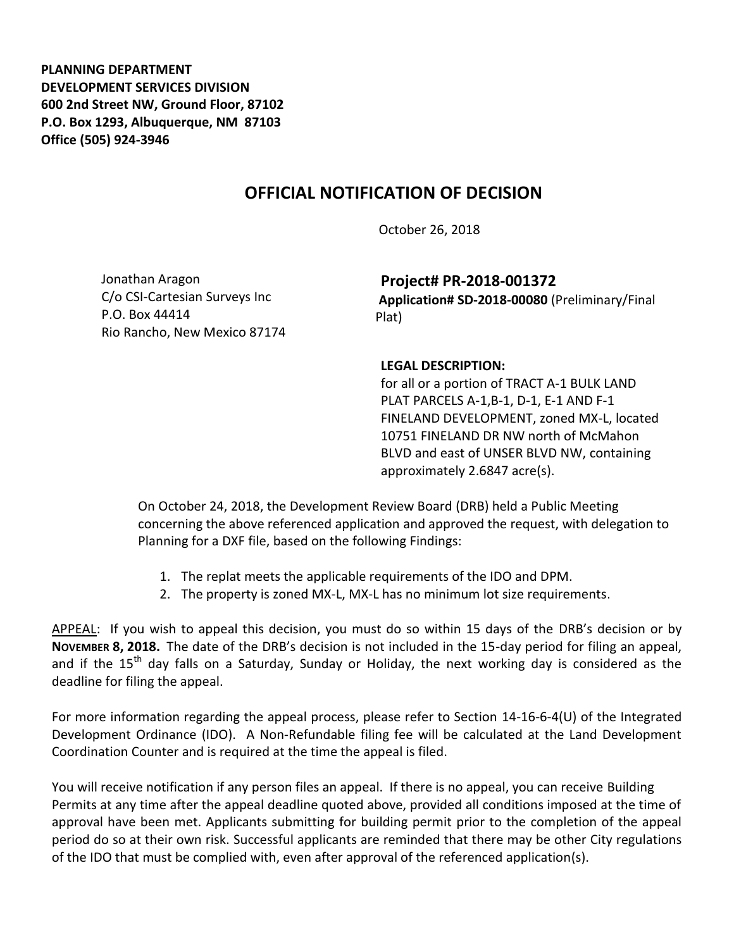**PLANNING DEPARTMENT DEVELOPMENT SERVICES DIVISION 600 2nd Street NW, Ground Floor, 87102 P.O. Box 1293, Albuquerque, NM 87103 Office (505) 924-3946** 

## **OFFICIAL NOTIFICATION OF DECISION**

October 26, 2018

Jonathan Aragon C/o CSI-Cartesian Surveys Inc P.O. Box 44414 Rio Rancho, New Mexico 87174

**Project# PR-2018-001372 Application# SD-2018-00080** (Preliminary/Final Plat)

## **LEGAL DESCRIPTION:**

for all or a portion of TRACT A-1 BULK LAND PLAT PARCELS A-1,B-1, D-1, E-1 AND F-1 FINELAND DEVELOPMENT, zoned MX-L, located 10751 FINELAND DR NW north of McMahon BLVD and east of UNSER BLVD NW, containing approximately 2.6847 acre(s).

On October 24, 2018, the Development Review Board (DRB) held a Public Meeting concerning the above referenced application and approved the request, with delegation to Planning for a DXF file, based on the following Findings:

- 1. The replat meets the applicable requirements of the IDO and DPM.
- 2. The property is zoned MX-L, MX-L has no minimum lot size requirements.

APPEAL: If you wish to appeal this decision, you must do so within 15 days of the DRB's decision or by **NOVEMBER 8, 2018.** The date of the DRB's decision is not included in the 15-day period for filing an appeal, and if the  $15<sup>th</sup>$  day falls on a Saturday, Sunday or Holiday, the next working day is considered as the deadline for filing the appeal.

For more information regarding the appeal process, please refer to Section 14-16-6-4(U) of the Integrated Development Ordinance (IDO). A Non-Refundable filing fee will be calculated at the Land Development Coordination Counter and is required at the time the appeal is filed.

You will receive notification if any person files an appeal. If there is no appeal, you can receive Building Permits at any time after the appeal deadline quoted above, provided all conditions imposed at the time of approval have been met. Applicants submitting for building permit prior to the completion of the appeal period do so at their own risk. Successful applicants are reminded that there may be other City regulations of the IDO that must be complied with, even after approval of the referenced application(s).